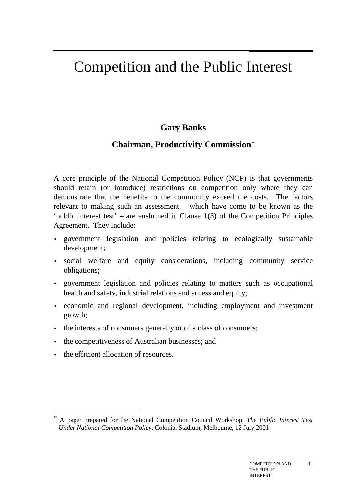# Competition and the Public Interest

# **Gary Banks**

### **Chairman, Productivity Commission**\*

A core principle of the National Competition Policy (NCP) is that governments should retain (or introduce) restrictions on competition only where they can demonstrate that the benefits to the community exceed the costs. The factors relevant to making such an assessment – which have come to be known as the 'public interest test' – are enshrined in Clause 1(3) of the Competition Principles Agreement. They include:

- government legislation and policies relating to ecologically sustainable development;
- social welfare and equity considerations, including community service obligations;
- government legislation and policies relating to matters such as occupational health and safety, industrial relations and access and equity;
- economic and regional development, including employment and investment growth;
- the interests of consumers generally or of a class of consumers;
- the competitiveness of Australian businesses; and
- the efficient allocation of resources.

 $\overline{a}$ 

<sup>\*</sup> A paper prepared for the National Competition Council Workshop, *The Public Interest Test Under National Competition Policy*, Colonial Stadium, Melbourne, 12 July 2001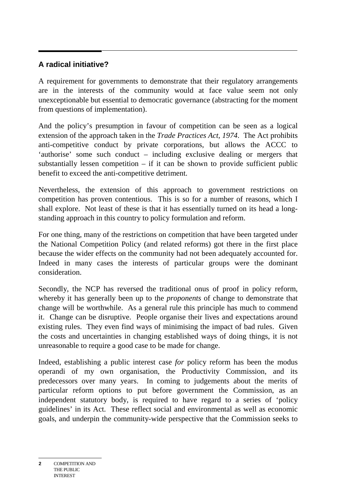#### **A radical initiative?**

A requirement for governments to demonstrate that their regulatory arrangements are in the interests of the community would at face value seem not only unexceptionable but essential to democratic governance (abstracting for the moment from questions of implementation).

And the policy's presumption in favour of competition can be seen as a logical extension of the approach taken in the *Trade Practices Act, 1974*. The Act prohibits anti-competitive conduct by private corporations, but allows the ACCC to 'authorise' some such conduct – including exclusive dealing or mergers that substantially lessen competition  $-$  if it can be shown to provide sufficient public benefit to exceed the anti-competitive detriment.

Nevertheless, the extension of this approach to government restrictions on competition has proven contentious. This is so for a number of reasons, which I shall explore. Not least of these is that it has essentially turned on its head a longstanding approach in this country to policy formulation and reform.

For one thing, many of the restrictions on competition that have been targeted under the National Competition Policy (and related reforms) got there in the first place because the wider effects on the community had not been adequately accounted for. Indeed in many cases the interests of particular groups were the dominant consideration.

Secondly, the NCP has reversed the traditional onus of proof in policy reform, whereby it has generally been up to the *proponents* of change to demonstrate that change will be worthwhile. As a general rule this principle has much to commend it. Change can be disruptive. People organise their lives and expectations around existing rules. They even find ways of minimising the impact of bad rules. Given the costs and uncertainties in changing established ways of doing things, it is not unreasonable to require a good case to be made for change.

Indeed, establishing a public interest case *for* policy reform has been the modus operandi of my own organisation, the Productivity Commission, and its predecessors over many years. In coming to judgements about the merits of particular reform options to put before government the Commission, as an independent statutory body, is required to have regard to a series of 'policy guidelines' in its Act. These reflect social and environmental as well as economic goals, and underpin the community-wide perspective that the Commission seeks to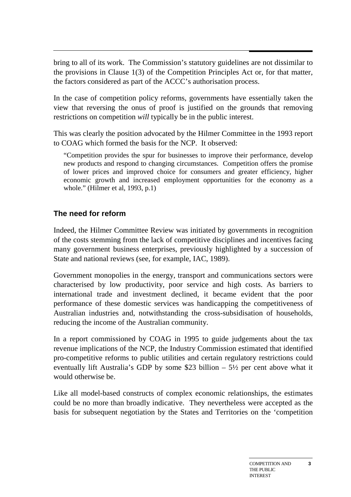bring to all of its work. The Commission's statutory guidelines are not dissimilar to the provisions in Clause 1(3) of the Competition Principles Act or, for that matter, the factors considered as part of the ACCC's authorisation process.

In the case of competition policy reforms, governments have essentially taken the view that reversing the onus of proof is justified on the grounds that removing restrictions on competition *will* typically be in the public interest.

This was clearly the position advocated by the Hilmer Committee in the 1993 report to COAG which formed the basis for the NCP. It observed:

"Competition provides the spur for businesses to improve their performance, develop new products and respond to changing circumstances. Competition offers the promise of lower prices and improved choice for consumers and greater efficiency, higher economic growth and increased employment opportunities for the economy as a whole." (Hilmer et al, 1993, p.1)

### **The need for reform**

Indeed, the Hilmer Committee Review was initiated by governments in recognition of the costs stemming from the lack of competitive disciplines and incentives facing many government business enterprises, previously highlighted by a succession of State and national reviews (see, for example, IAC, 1989).

Government monopolies in the energy, transport and communications sectors were characterised by low productivity, poor service and high costs. As barriers to international trade and investment declined, it became evident that the poor performance of these domestic services was handicapping the competitiveness of Australian industries and, notwithstanding the cross-subsidisation of households, reducing the income of the Australian community.

In a report commissioned by COAG in 1995 to guide judgements about the tax revenue implications of the NCP, the Industry Commission estimated that identified pro-competitive reforms to public utilities and certain regulatory restrictions could eventually lift Australia's GDP by some \$23 billion  $-5\frac{1}{2}$  per cent above what it would otherwise be.

Like all model-based constructs of complex economic relationships, the estimates could be no more than broadly indicative. They nevertheless were accepted as the basis for subsequent negotiation by the States and Territories on the 'competition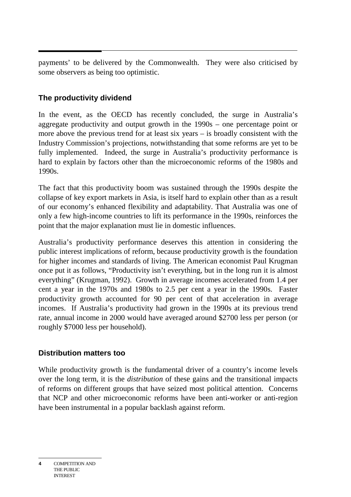payments' to be delivered by the Commonwealth. They were also criticised by some observers as being too optimistic.

## **The productivity dividend**

In the event, as the OECD has recently concluded, the surge in Australia's aggregate productivity and output growth in the 1990s – one percentage point or more above the previous trend for at least six years – is broadly consistent with the Industry Commission's projections, notwithstanding that some reforms are yet to be fully implemented. Indeed, the surge in Australia's productivity performance is hard to explain by factors other than the microeconomic reforms of the 1980s and 1990s.

The fact that this productivity boom was sustained through the 1990s despite the collapse of key export markets in Asia, is itself hard to explain other than as a result of our economy's enhanced flexibility and adaptability. That Australia was one of only a few high-income countries to lift its performance in the 1990s, reinforces the point that the major explanation must lie in domestic influences.

Australia's productivity performance deserves this attention in considering the public interest implications of reform, because productivity growth is the foundation for higher incomes and standards of living. The American economist Paul Krugman once put it as follows, "Productivity isn't everything, but in the long run it is almost everything" (Krugman, 1992). Growth in average incomes accelerated from 1.4 per cent a year in the 1970s and 1980s to 2.5 per cent a year in the 1990s. Faster productivity growth accounted for 90 per cent of that acceleration in average incomes. If Australia's productivity had grown in the 1990s at its previous trend rate, annual income in 2000 would have averaged around \$2700 less per person (or roughly \$7000 less per household).

#### **Distribution matters too**

While productivity growth is the fundamental driver of a country's income levels over the long term, it is the *distribution* of these gains and the transitional impacts of reforms on different groups that have seized most political attention. Concerns that NCP and other microeconomic reforms have been anti-worker or anti-region have been instrumental in a popular backlash against reform.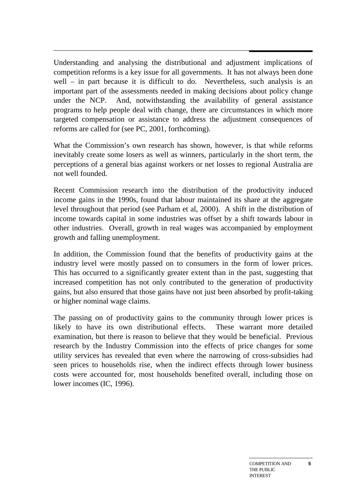Understanding and analysing the distributional and adjustment implications of competition reforms is a key issue for all governments. It has not always been done well – in part because it is difficult to do. Nevertheless, such analysis is an important part of the assessments needed in making decisions about policy change under the NCP. And, notwithstanding the availability of general assistance programs to help people deal with change, there are circumstances in which more targeted compensation or assistance to address the adjustment consequences of reforms are called for (see PC, 2001, forthcoming).

What the Commission's own research has shown, however, is that while reforms inevitably create some losers as well as winners, particularly in the short term, the perceptions of a general bias against workers or net losses to regional Australia are not well founded.

Recent Commission research into the distribution of the productivity induced income gains in the 1990s, found that labour maintained its share at the aggregate level throughout that period (see Parham et al, 2000). A shift in the distribution of income towards capital in some industries was offset by a shift towards labour in other industries. Overall, growth in real wages was accompanied by employment growth and falling unemployment.

In addition, the Commission found that the benefits of productivity gains at the industry level were mostly passed on to consumers in the form of lower prices. This has occurred to a significantly greater extent than in the past, suggesting that increased competition has not only contributed to the generation of productivity gains, but also ensured that those gains have not just been absorbed by profit-taking or higher nominal wage claims.

The passing on of productivity gains to the community through lower prices is likely to have its own distributional effects. These warrant more detailed examination, but there is reason to believe that they would be beneficial. Previous research by the Industry Commission into the effects of price changes for some utility services has revealed that even where the narrowing of cross-subsidies had seen prices to households rise, when the indirect effects through lower business costs were accounted for, most households benefited overall, including those on lower incomes (IC, 1996).

**5**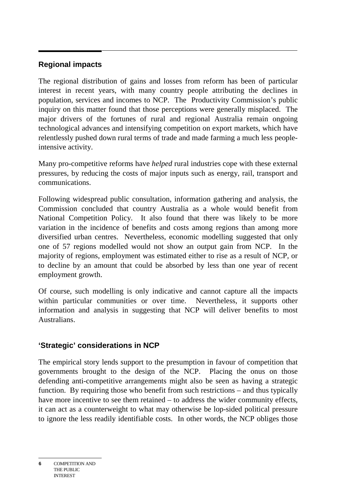### **Regional impacts**

The regional distribution of gains and losses from reform has been of particular interest in recent years, with many country people attributing the declines in population, services and incomes to NCP. The Productivity Commission's public inquiry on this matter found that those perceptions were generally misplaced. The major drivers of the fortunes of rural and regional Australia remain ongoing technological advances and intensifying competition on export markets, which have relentlessly pushed down rural terms of trade and made farming a much less peopleintensive activity.

Many pro-competitive reforms have *helped* rural industries cope with these external pressures, by reducing the costs of major inputs such as energy, rail, transport and communications.

Following widespread public consultation, information gathering and analysis, the Commission concluded that country Australia as a whole would benefit from National Competition Policy. It also found that there was likely to be more variation in the incidence of benefits and costs among regions than among more diversified urban centres. Nevertheless, economic modelling suggested that only one of 57 regions modelled would not show an output gain from NCP. In the majority of regions, employment was estimated either to rise as a result of NCP, or to decline by an amount that could be absorbed by less than one year of recent employment growth.

Of course, such modelling is only indicative and cannot capture all the impacts within particular communities or over time. Nevertheless, it supports other information and analysis in suggesting that NCP will deliver benefits to most Australians.

### **'Strategic' considerations in NCP**

The empirical story lends support to the presumption in favour of competition that governments brought to the design of the NCP. Placing the onus on those defending anti-competitive arrangements might also be seen as having a strategic function. By requiring those who benefit from such restrictions – and thus typically have more incentive to see them retained – to address the wider community effects, it can act as a counterweight to what may otherwise be lop-sided political pressure to ignore the less readily identifiable costs. In other words, the NCP obliges those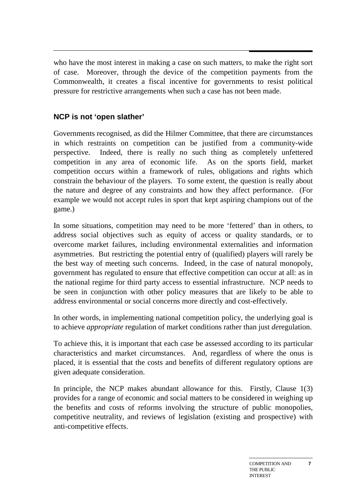who have the most interest in making a case on such matters, to make the right sort of case. Moreover, through the device of the competition payments from the Commonwealth, it creates a fiscal incentive for governments to resist political pressure for restrictive arrangements when such a case has not been made.

### **NCP is not 'open slather'**

Governments recognised, as did the Hilmer Committee, that there are circumstances in which restraints on competition can be justified from a community-wide perspective. Indeed, there is really no such thing as completely unfettered competition in any area of economic life. As on the sports field, market competition occurs within a framework of rules, obligations and rights which constrain the behaviour of the players. To some extent, the question is really about the nature and degree of any constraints and how they affect performance. (For example we would not accept rules in sport that kept aspiring champions out of the game.)

In some situations, competition may need to be more 'fettered' than in others, to address social objectives such as equity of access or quality standards, or to overcome market failures, including environmental externalities and information asymmetries. But restricting the potential entry of (qualified) players will rarely be the best way of meeting such concerns. Indeed, in the case of natural monopoly, government has regulated to ensure that effective competition can occur at all: as in the national regime for third party access to essential infrastructure. NCP needs to be seen in conjunction with other policy measures that are likely to be able to address environmental or social concerns more directly and cost-effectively.

In other words, in implementing national competition policy, the underlying goal is to achieve *appropriate* regulation of market conditions rather than just *de*regulation.

To achieve this, it is important that each case be assessed according to its particular characteristics and market circumstances. And, regardless of where the onus is placed, it is essential that the costs and benefits of different regulatory options are given adequate consideration.

In principle, the NCP makes abundant allowance for this. Firstly, Clause 1(3) provides for a range of economic and social matters to be considered in weighing up the benefits and costs of reforms involving the structure of public monopolies, competitive neutrality, and reviews of legislation (existing and prospective) with anti-competitive effects.

**7**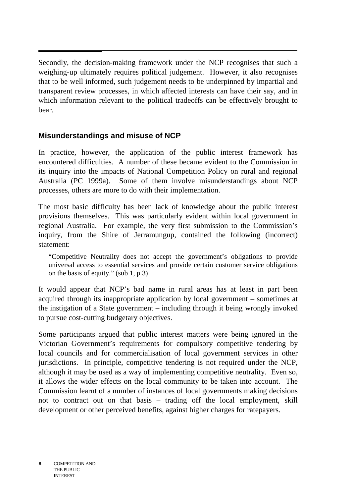Secondly, the decision-making framework under the NCP recognises that such a weighing-up ultimately requires political judgement. However, it also recognises that to be well informed, such judgement needs to be underpinned by impartial and transparent review processes, in which affected interests can have their say, and in which information relevant to the political tradeoffs can be effectively brought to bear.

#### **Misunderstandings and misuse of NCP**

In practice, however, the application of the public interest framework has encountered difficulties. A number of these became evident to the Commission in its inquiry into the impacts of National Competition Policy on rural and regional Australia (PC 1999a). Some of them involve misunderstandings about NCP processes, others are more to do with their implementation.

The most basic difficulty has been lack of knowledge about the public interest provisions themselves. This was particularly evident within local government in regional Australia. For example, the very first submission to the Commission's inquiry, from the Shire of Jerramungup, contained the following (incorrect) statement:

"Competitive Neutrality does not accept the government's obligations to provide universal access to essential services and provide certain customer service obligations on the basis of equity." (sub 1, p 3)

It would appear that NCP's bad name in rural areas has at least in part been acquired through its inappropriate application by local government – sometimes at the instigation of a State government – including through it being wrongly invoked to pursue cost-cutting budgetary objectives.

Some participants argued that public interest matters were being ignored in the Victorian Government's requirements for compulsory competitive tendering by local councils and for commercialisation of local government services in other jurisdictions. In principle, competitive tendering is not required under the NCP, although it may be used as a way of implementing competitive neutrality. Even so, it allows the wider effects on the local community to be taken into account. The Commission learnt of a number of instances of local governments making decisions not to contract out on that basis – trading off the local employment, skill development or other perceived benefits, against higher charges for ratepayers.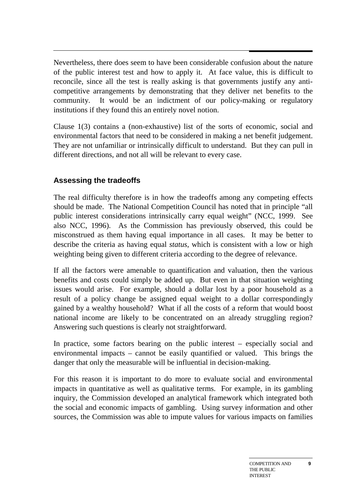Nevertheless, there does seem to have been considerable confusion about the nature of the public interest test and how to apply it. At face value, this is difficult to reconcile, since all the test is really asking is that governments justify any anticompetitive arrangements by demonstrating that they deliver net benefits to the community. It would be an indictment of our policy-making or regulatory institutions if they found this an entirely novel notion.

Clause 1(3) contains a (non-exhaustive) list of the sorts of economic, social and environmental factors that need to be considered in making a net benefit judgement. They are not unfamiliar or intrinsically difficult to understand. But they can pull in different directions, and not all will be relevant to every case.

### **Assessing the tradeoffs**

The real difficulty therefore is in how the tradeoffs among any competing effects should be made. The National Competition Council has noted that in principle "all public interest considerations intrinsically carry equal weight" (NCC, 1999. See also NCC, 1996). As the Commission has previously observed, this could be misconstrued as them having equal importance in all cases. It may be better to describe the criteria as having equal *status*, which is consistent with a low or high weighting being given to different criteria according to the degree of relevance.

If all the factors were amenable to quantification and valuation, then the various benefits and costs could simply be added up. But even in that situation weighting issues would arise. For example, should a dollar lost by a poor household as a result of a policy change be assigned equal weight to a dollar correspondingly gained by a wealthy household? What if all the costs of a reform that would boost national income are likely to be concentrated on an already struggling region? Answering such questions is clearly not straightforward.

In practice, some factors bearing on the public interest – especially social and environmental impacts – cannot be easily quantified or valued. This brings the danger that only the measurable will be influential in decision-making.

For this reason it is important to do more to evaluate social and environmental impacts in quantitative as well as qualitative terms. For example, in its gambling inquiry, the Commission developed an analytical framework which integrated both the social and economic impacts of gambling. Using survey information and other sources, the Commission was able to impute values for various impacts on families

**9**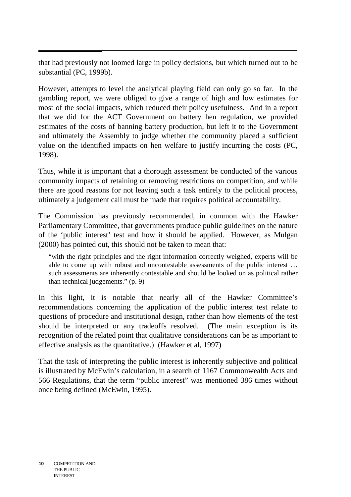that had previously not loomed large in policy decisions, but which turned out to be substantial (PC, 1999b).

However, attempts to level the analytical playing field can only go so far. In the gambling report, we were obliged to give a range of high and low estimates for most of the social impacts, which reduced their policy usefulness. And in a report that we did for the ACT Government on battery hen regulation, we provided estimates of the costs of banning battery production, but left it to the Government and ultimately the Assembly to judge whether the community placed a sufficient value on the identified impacts on hen welfare to justify incurring the costs (PC, 1998).

Thus, while it is important that a thorough assessment be conducted of the various community impacts of retaining or removing restrictions on competition, and while there are good reasons for not leaving such a task entirely to the political process, ultimately a judgement call must be made that requires political accountability.

The Commission has previously recommended, in common with the Hawker Parliamentary Committee, that governments produce public guidelines on the nature of the 'public interest' test and how it should be applied. However, as Mulgan (2000) has pointed out, this should not be taken to mean that:

"with the right principles and the right information correctly weighed, experts will be able to come up with robust and uncontestable assessments of the public interest … such assessments are inherently contestable and should be looked on as political rather than technical judgements." (p. 9)

In this light, it is notable that nearly all of the Hawker Committee's recommendations concerning the application of the public interest test relate to questions of procedure and institutional design, rather than how elements of the test should be interpreted or any tradeoffs resolved. (The main exception is its recognition of the related point that qualitative considerations can be as important to effective analysis as the quantitative.) (Hawker et al, 1997)

That the task of interpreting the public interest is inherently subjective and political is illustrated by McEwin's calculation, in a search of 1167 Commonwealth Acts and 566 Regulations, that the term "public interest" was mentioned 386 times without once being defined (McEwin, 1995).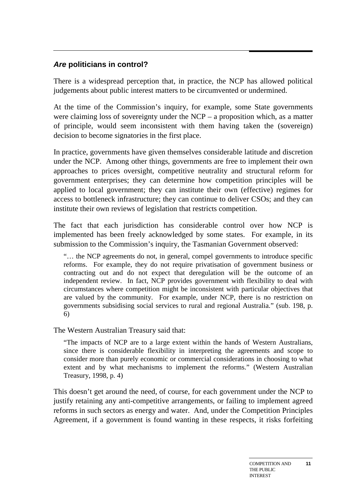### **Are politicians in control?**

There is a widespread perception that, in practice, the NCP has allowed political judgements about public interest matters to be circumvented or undermined.

At the time of the Commission's inquiry, for example, some State governments were claiming loss of sovereignty under the NCP – a proposition which, as a matter of principle, would seem inconsistent with them having taken the (sovereign) decision to become signatories in the first place.

In practice, governments have given themselves considerable latitude and discretion under the NCP. Among other things, governments are free to implement their own approaches to prices oversight, competitive neutrality and structural reform for government enterprises; they can determine how competition principles will be applied to local government; they can institute their own (effective) regimes for access to bottleneck infrastructure; they can continue to deliver CSOs; and they can institute their own reviews of legislation that restricts competition.

The fact that each jurisdiction has considerable control over how NCP is implemented has been freely acknowledged by some states. For example, in its submission to the Commission's inquiry, the Tasmanian Government observed:

"… the NCP agreements do not, in general, compel governments to introduce specific reforms. For example, they do not require privatisation of government business or contracting out and do not expect that deregulation will be the outcome of an independent review. In fact, NCP provides government with flexibility to deal with circumstances where competition might be inconsistent with particular objectives that are valued by the community. For example, under NCP, there is no restriction on governments subsidising social services to rural and regional Australia." (sub. 198, p. 6)

The Western Australian Treasury said that:

"The impacts of NCP are to a large extent within the hands of Western Australians, since there is considerable flexibility in interpreting the agreements and scope to consider more than purely economic or commercial considerations in choosing to what extent and by what mechanisms to implement the reforms." (Western Australian Treasury, 1998, p. 4)

This doesn't get around the need, of course, for each government under the NCP to justify retaining any anti-competitive arrangements, or failing to implement agreed reforms in such sectors as energy and water. And, under the Competition Principles Agreement, if a government is found wanting in these respects, it risks forfeiting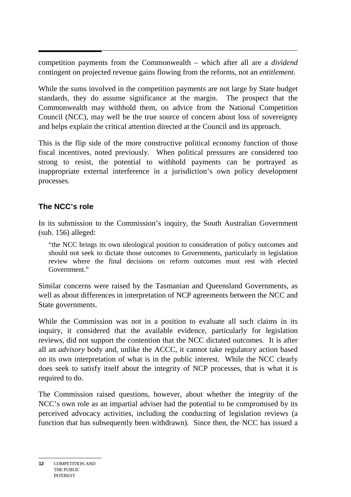competition payments from the Commonwealth – which after all are a *dividend* contingent on projected revenue gains flowing from the reforms, not an *entitlement*.

While the sums involved in the competition payments are not large by State budget standards, they do assume significance at the margin. The prospect that the Commonwealth may withhold them, on advice from the National Competition Council (NCC), may well be the true source of concern about loss of sovereignty and helps explain the critical attention directed at the Council and its approach.

This is the flip side of the more constructive political economy function of those fiscal incentives, noted previously. When political pressures are considered too strong to resist, the potential to withhold payments can be portrayed as inappropriate external interference in a jurisdiction's own policy development processes.

# **The NCC's role**

In its submission to the Commission's inquiry, the South Australian Government (sub. 156) alleged:

"the NCC brings its own ideological position to consideration of policy outcomes and should not seek to dictate those outcomes to Governments, particularly in legislation review where the final decisions on reform outcomes must rest with elected Government"

Similar concerns were raised by the Tasmanian and Queensland Governments, as well as about differences in interpretation of NCP agreements between the NCC and State governments.

While the Commission was not in a position to evaluate all such claims in its inquiry, it considered that the available evidence, particularly for legislation reviews, did not support the contention that the NCC dictated outcomes. It is after all an *advisory* body and, unlike the ACCC, it cannot take regulatory action based on its own interpretation of what is in the public interest. While the NCC clearly does seek to satisfy itself about the integrity of NCP processes, that is what it is required to do.

The Commission raised questions, however, about whether the integrity of the NCC's own role as an impartial adviser had the potential to be compromised by its perceived advocacy activities, including the conducting of legislation reviews (a function that has subsequently been withdrawn). Since then, the NCC has issued a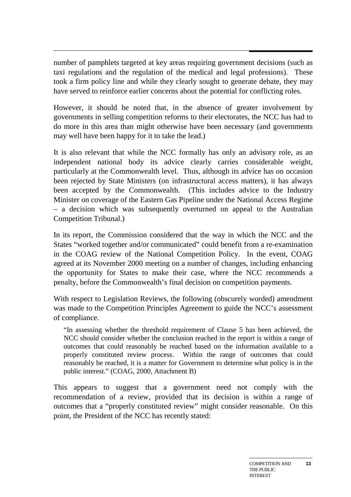number of pamphlets targeted at key areas requiring government decisions (such as taxi regulations and the regulation of the medical and legal professions). These took a firm policy line and while they clearly sought to generate debate, they may have served to reinforce earlier concerns about the potential for conflicting roles.

However, it should be noted that, in the absence of greater involvement by governments in selling competition reforms to their electorates, the NCC has had to do more in this area than might otherwise have been necessary (and governments may well have been happy for it to take the lead.)

It is also relevant that while the NCC formally has only an advisory role, as an independent national body its advice clearly carries considerable weight, particularly at the Commonwealth level. Thus, although its advice has on occasion been rejected by State Ministers (on infrastructural access matters), it has always been accepted by the Commonwealth. (This includes advice to the Industry Minister on coverage of the Eastern Gas Pipeline under the National Access Regime – a decision which was subsequently overturned on appeal to the Australian Competition Tribunal.)

In its report, the Commission considered that the way in which the NCC and the States "worked together and/or communicated" could benefit from a re-examination in the COAG review of the National Competition Policy. In the event, COAG agreed at its November 2000 meeting on a number of changes, including enhancing the opportunity for States to make their case, where the NCC recommends a penalty, before the Commonwealth's final decision on competition payments.

With respect to Legislation Reviews, the following (obscurely worded) amendment was made to the Competition Principles Agreement to guide the NCC's assessment of compliance.

"In assessing whether the threshold requirement of Clause 5 has been achieved, the NCC should consider whether the conclusion reached in the report is within a range of outcomes that could reasonably be reached based on the information available to a properly constituted review process. Within the range of outcomes that could reasonably be reached, it is a matter for Government to determine what policy is in the public interest." (COAG, 2000, Attachment B)

This appears to suggest that a government need not comply with the recommendation of a review, provided that its decision is within a range of outcomes that a "properly constituted review" might consider reasonable. On this point, the President of the NCC has recently stated: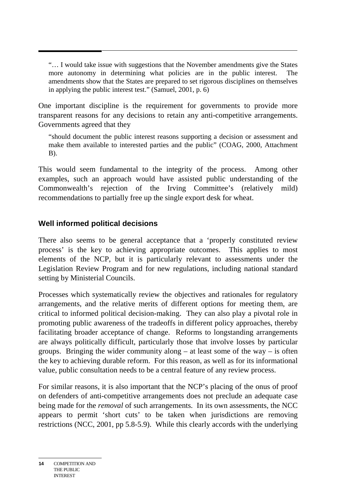"… I would take issue with suggestions that the November amendments give the States more autonomy in determining what policies are in the public interest. The amendments show that the States are prepared to set rigorous disciplines on themselves in applying the public interest test." (Samuel, 2001, p. 6)

One important discipline is the requirement for governments to provide more transparent reasons for any decisions to retain any anti-competitive arrangements. Governments agreed that they

"should document the public interest reasons supporting a decision or assessment and make them available to interested parties and the public" (COAG, 2000, Attachment B).

This would seem fundamental to the integrity of the process. Among other examples, such an approach would have assisted public understanding of the Commonwealth's rejection of the Irving Committee's (relatively mild) recommendations to partially free up the single export desk for wheat.

#### **Well informed political decisions**

There also seems to be general acceptance that a 'properly constituted review process' is the key to achieving appropriate outcomes. This applies to most elements of the NCP, but it is particularly relevant to assessments under the Legislation Review Program and for new regulations, including national standard setting by Ministerial Councils.

Processes which systematically review the objectives and rationales for regulatory arrangements, and the relative merits of different options for meeting them, are critical to informed political decision-making. They can also play a pivotal role in promoting public awareness of the tradeoffs in different policy approaches, thereby facilitating broader acceptance of change. Reforms to longstanding arrangements are always politically difficult, particularly those that involve losses by particular groups. Bringing the wider community along  $-$  at least some of the way  $-$  is often the key to achieving durable reform. For this reason, as well as for its informational value, public consultation needs to be a central feature of any review process.

For similar reasons, it is also important that the NCP's placing of the onus of proof on defenders of anti-competitive arrangements does not preclude an adequate case being made for the *removal* of such arrangements. In its own assessments, the NCC appears to permit 'short cuts' to be taken when jurisdictions are removing restrictions (NCC, 2001, pp 5.8-5.9). While this clearly accords with the underlying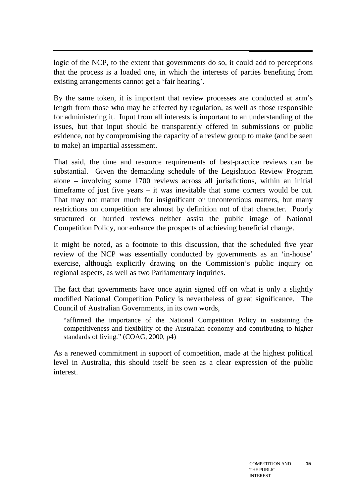logic of the NCP, to the extent that governments do so, it could add to perceptions that the process is a loaded one, in which the interests of parties benefiting from existing arrangements cannot get a 'fair hearing'.

By the same token, it is important that review processes are conducted at arm's length from those who may be affected by regulation, as well as those responsible for administering it. Input from all interests is important to an understanding of the issues, but that input should be transparently offered in submissions or public evidence, not by compromising the capacity of a review group to make (and be seen to make) an impartial assessment.

That said, the time and resource requirements of best-practice reviews can be substantial. Given the demanding schedule of the Legislation Review Program alone – involving some 1700 reviews across all jurisdictions, within an initial timeframe of just five years – it was inevitable that some corners would be cut. That may not matter much for insignificant or uncontentious matters, but many restrictions on competition are almost by definition not of that character. Poorly structured or hurried reviews neither assist the public image of National Competition Policy, nor enhance the prospects of achieving beneficial change.

It might be noted, as a footnote to this discussion, that the scheduled five year review of the NCP was essentially conducted by governments as an 'in-house' exercise, although explicitly drawing on the Commission's public inquiry on regional aspects, as well as two Parliamentary inquiries.

The fact that governments have once again signed off on what is only a slightly modified National Competition Policy is nevertheless of great significance. The Council of Australian Governments, in its own words,

"affirmed the importance of the National Competition Policy in sustaining the competitiveness and flexibility of the Australian economy and contributing to higher standards of living." (COAG, 2000, p4)

As a renewed commitment in support of competition, made at the highest political level in Australia, this should itself be seen as a clear expression of the public interest.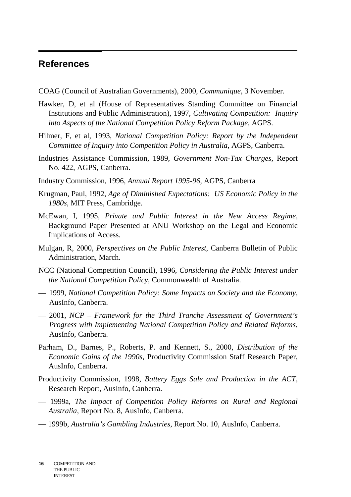### **References**

- COAG (Council of Australian Governments), 2000, *Communique*, 3 November.
- Hawker, D, et al (House of Representatives Standing Committee on Financial Institutions and Public Administration), 1997, *Cultivating Competition: Inquiry into Aspects of the National Competition Policy Reform Package,* AGPS.
- Hilmer, F, et al, 1993, *National Competition Policy: Report by the Independent Committee of Inquiry into Competition Policy in Australia*, AGPS, Canberra.
- Industries Assistance Commission, 1989, *Government Non-Tax Charges,* Report No. 422, AGPS, Canberra.
- Industry Commission, 1996, *Annual Report 1995-96,* AGPS, Canberra
- Krugman, Paul, 1992, *Age of Diminished Expectations: US Economic Policy in the 1980s,* MIT Press, Cambridge.
- McEwan, I, 1995, *Private and Public Interest in the New Access Regime,* Background Paper Presented at ANU Workshop on the Legal and Economic Implications of Access.
- Mulgan, R, 2000, *Perspectives on the Public Interest*, Canberra Bulletin of Public Administration, March.
- NCC (National Competition Council), 1996, *Considering the Public Interest under the National Competition Policy*, Commonwealth of Australia.
- 1999, *National Competition Policy: Some Impacts on Society and the Economy*, AusInfo, Canberra.
- 2001, *NCP Framework for the Third Tranche Assessment of Government's Progress with Implementing National Competition Policy and Related Reforms,* AusInfo, Canberra.
- Parham, D., Barnes, P., Roberts, P. and Kennett, S., 2000, *Distribution of the Economic Gains of the 1990s*, Productivity Commission Staff Research Paper, AusInfo, Canberra.
- Productivity Commission, 1998, *Battery Eggs Sale and Production in the ACT*, Research Report, AusInfo, Canberra.
- 1999a, *The Impact of Competition Policy Reforms on Rural and Regional Australia*, Report No. 8, AusInfo, Canberra.
- 1999b, *Australia's Gambling Industries*, Report No. 10, AusInfo, Canberra.